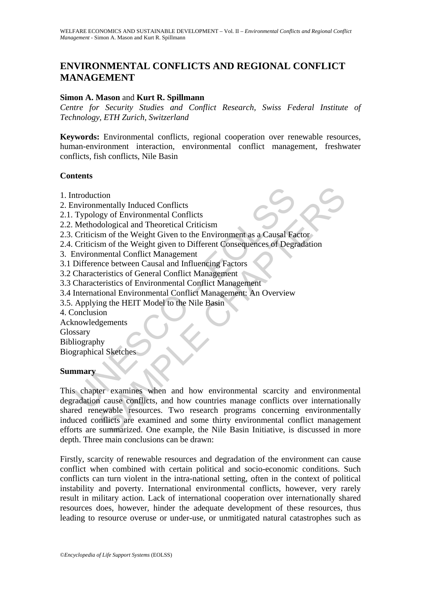# **ENVIRONMENTAL CONFLICTS AND REGIONAL CONFLICT MANAGEMENT**

#### **Simon A. Mason** and **Kurt R. Spillmann**

*Centre for Security Studies and Conflict Research, Swiss Federal Institute of Technology, ETH Zurich, Switzerland*

**Keywords:** Environmental conflicts, regional cooperation over renewable resources, human-environment interaction, environmental conflict management, freshwater conflicts, fish conflicts, Nile Basin

#### **Contents**

- 1. Introduction
- 2. Environmentally Induced Conflicts
- 2.1. Typology of Environmental Conflicts
- 2.2. Methodological and Theoretical Criticism
- 2.3. Criticism of the Weight Given to the Environment as a Causal Factor
- 2.4. Criticism of the Weight given to Different Consequences of Degradation
- 3. Environmental Conflict Management
- 3.1 Difference between Causal and Influencing Factors
- 3.2 Characteristics of General Conflict Management
- 3.3 Characteristics of Environmental Conflict Management
- 3.4 International Environmental Conflict Management: An Overview
- 3.5. Applying the HEIT Model to the Nile Basin
- 4. Conclusion
- Acknowledgements
- Glossary
- Bibliography

Biographical Sketches

#### **Summary**

ntroduction<br>
Invironmentally Induced Conflicts<br>
Typology of Environmental Conflicts<br>
Methodological and Theoretical Criticism<br>
Criticism of the Weight Given to the Environment as a Causal Fa<br>
Criticism of the Weight given tion<br>mentally Induced Conflicts<br>dological and Theoretical Criticism<br>sm of the Weight given to the Environment as a Causal Factor<br>sm of the Weight given to Different Consequences of Degradation<br>mental Conflict Management<br>te This chapter examines when and how environmental scarcity and environmental degradation cause conflicts, and how countries manage conflicts over internationally shared renewable resources. Two research programs concerning environmentally induced conflicts are examined and some thirty environmental conflict management efforts are summarized. One example, the Nile Basin Initiative, is discussed in more depth. Three main conclusions can be drawn:

Firstly, scarcity of renewable resources and degradation of the environment can cause conflict when combined with certain political and socio-economic conditions. Such conflicts can turn violent in the intra-national setting, often in the context of political instability and poverty. International environmental conflicts, however, very rarely result in military action. Lack of international cooperation over internationally shared resources does, however, hinder the adequate development of these resources, thus leading to resource overuse or under-use, or unmitigated natural catastrophes such as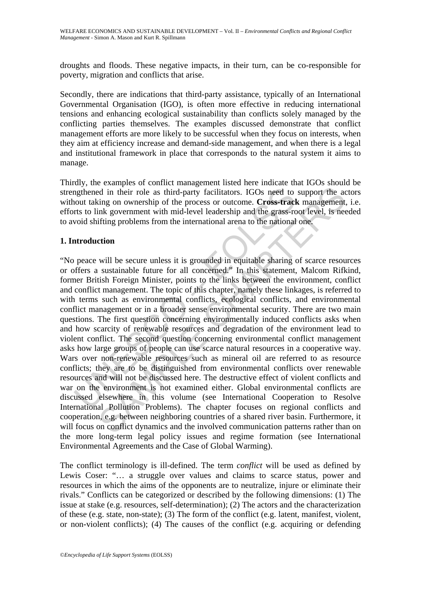droughts and floods. These negative impacts, in their turn, can be co-responsible for poverty, migration and conflicts that arise.

Secondly, there are indications that third-party assistance, typically of an International Governmental Organisation (IGO), is often more effective in reducing international tensions and enhancing ecological sustainability than conflicts solely managed by the conflicting parties themselves. The examples discussed demonstrate that conflict management efforts are more likely to be successful when they focus on interests, when they aim at efficiency increase and demand-side management, and when there is a legal and institutional framework in place that corresponds to the natural system it aims to manage.

Thirdly, the examples of conflict management listed here indicate that IGOs should be strengthened in their role as third-party facilitators. IGOs need to support the actors without taking on ownership of the process or outcome. **Cross-track** management, i.e. efforts to link government with mid-level leadership and the grass-root level, is needed to avoid shifting problems from the international arena to the national one.

## **1. Introduction**

ngthened in their role as third-party facilitators. IGOs need to<br>cout taking on ownership of the process or outcome. **Cross-tracl**<br>rts to link government with mid-level leadership and the grass-rc<br>void shifting problems fr diative in their role as third-party facilitators. IGOs need to support the acing on ownership of the process or outcome. Cross-track management ink government with mid-level leadership and the grass-root level, is need if "No peace will be secure unless it is grounded in equitable sharing of scarce resources or offers a sustainable future for all concerned." In this statement, Malcom Rifkind, former British Foreign Minister, points to the links between the environment, conflict and conflict management. The topic of this chapter, namely these linkages, is referred to with terms such as environmental conflicts, ecological conflicts, and environmental conflict management or in a broader sense environmental security. There are two main questions. The first question concerning environmentally induced conflicts asks when and how scarcity of renewable resources and degradation of the environment lead to violent conflict. The second question concerning environmental conflict management asks how large groups of people can use scarce natural resources in a cooperative way. Wars over non-renewable resources such as mineral oil are referred to as resource conflicts; they are to be distinguished from environmental conflicts over renewable resources and will not be discussed here. The destructive effect of violent conflicts and war on the environment is not examined either. Global environmental conflicts are discussed elsewhere in this volume (see International Cooperation to Resolve International Pollution Problems). The chapter focuses on regional conflicts and cooperation, e.g. between neighboring countries of a shared river basin. Furthermore, it will focus on conflict dynamics and the involved communication patterns rather than on the more long-term legal policy issues and regime formation (see International Environmental Agreements and the Case of Global Warming).

The conflict terminology is ill-defined. The term *conflict* will be used as defined by Lewis Coser: "... a struggle over values and claims to scarce status, power and resources in which the aims of the opponents are to neutralize, injure or eliminate their rivals." Conflicts can be categorized or described by the following dimensions: (1) The issue at stake (e.g. resources, self-determination); (2) The actors and the characterization of these (e.g. state, non-state); (3) The form of the conflict (e.g. latent, manifest, violent, or non-violent conflicts); (4) The causes of the conflict (e.g. acquiring or defending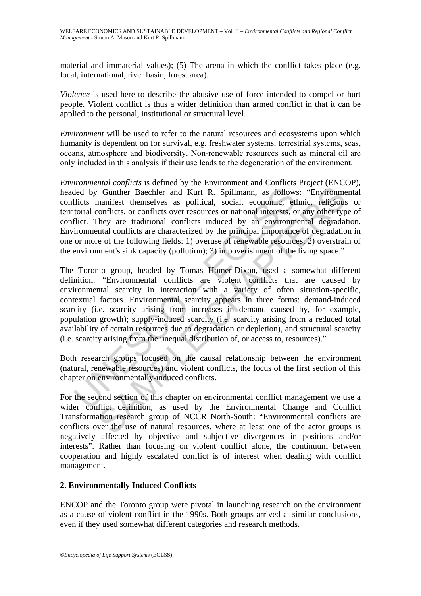material and immaterial values); (5) The arena in which the conflict takes place (e.g. local, international, river basin, forest area).

*Violence* is used here to describe the abusive use of force intended to compel or hurt people. Violent conflict is thus a wider definition than armed conflict in that it can be applied to the personal, institutional or structural level.

*Environment* will be used to refer to the natural resources and ecosystems upon which humanity is dependent on for survival, e.g. freshwater systems, terrestrial systems, seas, oceans, atmosphere and biodiversity. Non-renewable resources such as mineral oil are only included in this analysis if their use leads to the degeneration of the environment.

*Environmental conflicts* is defined by the Environment and Conflicts Project (ENCOP), headed by Günther Baechler and Kurt R. Spillmann, as follows: "Environmental conflicts manifest themselves as political, social, economic, ethnic, religious or territorial conflicts, or conflicts over resources or national interests, or any other type of conflict. They are traditional conflicts induced by an environmental degradation. Environmental conflicts are characterized by the principal importance of degradation in one or more of the following fields: 1) overuse of renewable resources; 2) overstrain of the environment's sink capacity (pollution); 3) impoverishment of the living space."

ded by Günther Baechler and Kurt R. Spillmann, as follows<br>flicts manifest themselves as political, social, economic, et<br>torial conflicts, or conflicts over resources or national interests, o<br>flict. They are traditional con Günther Baechler and Kurt R. Spillmann, as follows: "Environmenanifest themselves as political, social, economic, ethnic, religious conflicts, or conflicts over resources or national interests, or any other type they are t The Toronto group, headed by Tomas Homer-Dixon, used a somewhat different definition: "Environmental conflicts are violent conflicts that are caused by environmental scarcity in interaction with a variety of often situation-specific, contextual factors. Environmental scarcity appears in three forms: demand-induced scarcity (i.e. scarcity arising from increases in demand caused by, for example, population growth); supply-induced scarcity (i.e. scarcity arising from a reduced total availability of certain resources due to degradation or depletion), and structural scarcity (i.e. scarcity arising from the unequal distribution of, or access to, resources)."

Both research groups focused on the causal relationship between the environment (natural, renewable resources) and violent conflicts, the focus of the first section of this chapter on environmentally-induced conflicts.

For the second section of this chapter on environmental conflict management we use a wider conflict definition, as used by the Environmental Change and Conflict Transformation research group of NCCR North-South: "Environmental conflicts are conflicts over the use of natural resources, where at least one of the actor groups is negatively affected by objective and subjective divergences in positions and/or interests". Rather than focusing on violent conflict alone, the continuum between cooperation and highly escalated conflict is of interest when dealing with conflict management.

### **2. Environmentally Induced Conflicts**

ENCOP and the Toronto group were pivotal in launching research on the environment as a cause of violent conflict in the 1990s. Both groups arrived at similar conclusions, even if they used somewhat different categories and research methods.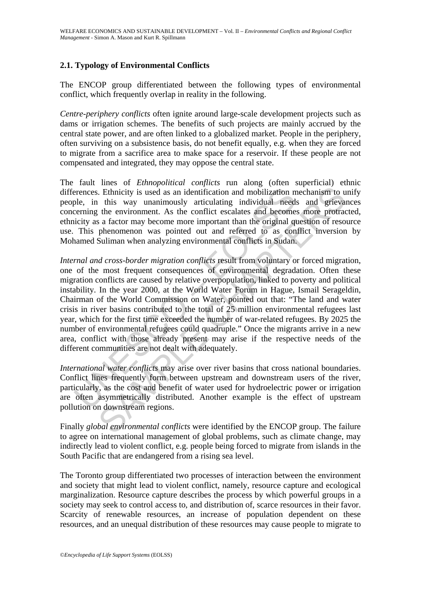# **2.1. Typology of Environmental Conflicts**

The ENCOP group differentiated between the following types of environmental conflict, which frequently overlap in reality in the following.

*Centre-periphery conflicts* often ignite around large-scale development projects such as dams or irrigation schemes. The benefits of such projects are mainly accrued by the central state power, and are often linked to a globalized market. People in the periphery, often surviving on a subsistence basis, do not benefit equally, e.g. when they are forced to migrate from a sacrifice area to make space for a reservoir. If these people are not compensated and integrated, they may oppose the central state.

The fault lines of *Ethnopolitical conflicts* run along (often superficial) ethnic differences. Ethnicity is used as an identification and mobilization mechanism to unify people, in this way unanimously articulating individual needs and grievances concerning the environment. As the conflict escalates and becomes more protracted, ethnicity as a factor may become more important than the original question of resource use. This phenomenon was pointed out and referred to as conflict inversion by Mohamed Suliman when analyzing environmental conflicts in Sudan.

erences. Ethnicity is used as an identification and mobilization m<br>ple, in this way unanimously articulating individual needs<br>cerning the environment. As the conflict escalates and become<br>icity as a factor may become more . Ethnicity is used as an identification and mobilization mechanism to use this way unanimously articulating individual needs and grievation is a stactor may become more important han the original question of reso phenome *Internal and cross-border migration conflicts* result from voluntary or forced migration, one of the most frequent consequences of environmental degradation. Often these migration conflicts are caused by relative overpopulation, linked to poverty and political instability. In the year 2000, at the World Water Forum in Hague, Ismail Serageldin, Chairman of the World Commission on Water, pointed out that: "The land and water crisis in river basins contributed to the total of 25 million environmental refugees last year, which for the first time exceeded the number of war-related refugees. By 2025 the number of environmental refugees could quadruple." Once the migrants arrive in a new area, conflict with those already present may arise if the respective needs of the different communities are not dealt with adequately.

*International water conflicts* may arise over river basins that cross national boundaries. Conflict lines frequently form between upstream and downstream users of the river, particularly, as the cost and benefit of water used for hydroelectric power or irrigation are often asymmetrically distributed. Another example is the effect of upstream pollution on downstream regions.

Finally *global environmental conflicts* were identified by the ENCOP group. The failure to agree on international management of global problems, such as climate change, may indirectly lead to violent conflict, e.g. people being forced to migrate from islands in the South Pacific that are endangered from a rising sea level.

The Toronto group differentiated two processes of interaction between the environment and society that might lead to violent conflict, namely, resource capture and ecological marginalization. Resource capture describes the process by which powerful groups in a society may seek to control access to, and distribution of, scarce resources in their favor. Scarcity of renewable resources, an increase of population dependent on these resources, and an unequal distribution of these resources may cause people to migrate to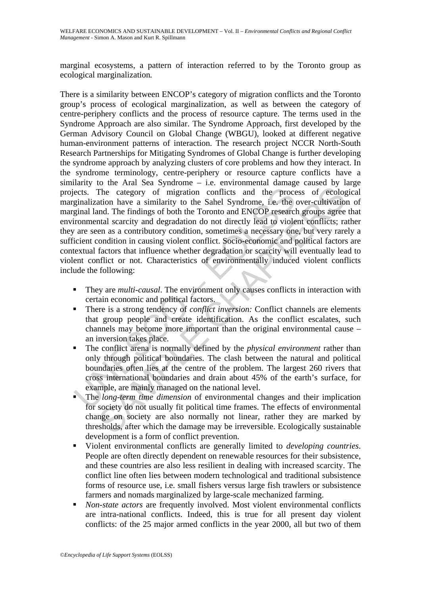marginal ecosystems, a pattern of interaction referred to by the Toronto group as ecological marginalization*.* 

ects. The category of migration conflicts and the process-<br>ects. The category of migration conflicts and the process production have a similarity to the Sahel Syndrome, i.e. the light and and. The findings of both the Toro The category of migration conflicts and the process of ecologication have a similarity to the Sahel Syndrome, i.e. the over-cultivation have a similarity to the Sahel Syndrome, i.e. the over-cultivation and EMCOP research There is a similarity between ENCOP's category of migration conflicts and the Toronto group's process of ecological marginalization, as well as between the category of centre-periphery conflicts and the process of resource capture. The terms used in the Syndrome Approach are also similar. The Syndrome Approach, first developed by the German Advisory Council on Global Change (WBGU), looked at different negative human-environment patterns of interaction. The research project NCCR North-South Research Partnerships for Mitigating Syndromes of Global Change is further developing the syndrome approach by analyzing clusters of core problems and how they interact. In the syndrome terminology, centre-periphery or resource capture conflicts have a similarity to the Aral Sea Syndrome – i.e. environmental damage caused by large projects. The category of migration conflicts and the process of ecological marginalization have a similarity to the Sahel Syndrome, i.e. the over-cultivation of marginal land. The findings of both the Toronto and ENCOP research groups agree that environmental scarcity and degradation do not directly lead to violent conflicts; rather they are seen as a contributory condition, sometimes a necessary one, but very rarely a sufficient condition in causing violent conflict. Socio-economic and political factors are contextual factors that influence whether degradation or scarcity will eventually lead to violent conflict or not. Characteristics of environmentally induced violent conflicts include the following:

- They are *multi-causal*. The environment only causes conflicts in interaction with certain economic and political factors.
- There is a strong tendency of *conflict inversion:* Conflict channels are elements that group people and create identification. As the conflict escalates, such channels may become more important than the original environmental cause – an inversion takes place.
- The conflict arena is normally defined by the *physical environment* rather than only through political boundaries. The clash between the natural and political boundaries often lies at the centre of the problem. The largest 260 rivers that cross international boundaries and drain about 45% of the earth's surface, for example, are mainly managed on the national level.
- The *long-term time dimension* of environmental changes and their implication for society do not usually fit political time frames. The effects of environmental change on society are also normally not linear, rather they are marked by thresholds, after which the damage may be irreversible. Ecologically sustainable development is a form of conflict prevention.
- Violent environmental conflicts are generally limited to *developing countries*. People are often directly dependent on renewable resources for their subsistence, and these countries are also less resilient in dealing with increased scarcity. The conflict line often lies between modern technological and traditional subsistence forms of resource use, i.e. small fishers versus large fish trawlers or subsistence farmers and nomads marginalized by large-scale mechanized farming.
- *Non-state actors* are frequently involved. Most violent environmental conflicts are intra-national conflicts. Indeed, this is true for all present day violent conflicts: of the 25 major armed conflicts in the year 2000, all but two of them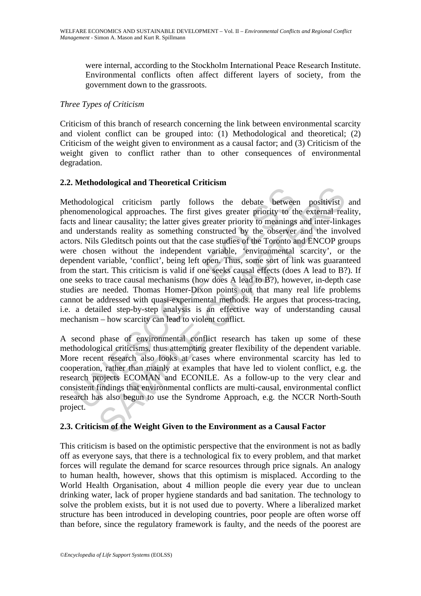were internal, according to the Stockholm International Peace Research Institute. Environmental conflicts often affect different layers of society, from the government down to the grassroots.

### *Three Types of Criticism*

Criticism of this branch of research concerning the link between environmental scarcity and violent conflict can be grouped into: (1) Methodological and theoretical; (2) Criticism of the weight given to environment as a causal factor; and (3) Criticism of the weight given to conflict rather than to other consequences of environmental degradation.

# **2.2. Methodological and Theoretical Criticism**

hodological criticism partly follows the debate betwee<br>and linear causality; the latter gives greater priority to the sand linear causality; the latter gives greater priority to meanings<br>understands reality; the latter giv Example and particles are delay between positivist<br>gical criticism partly follows the debate between positivist<br>logical approaches. The first gives greater priority to the external rea<br>near causality; the latter gives grea Methodological criticism partly follows the debate between positivist and phenomenological approaches. The first gives greater priority to the external reality, facts and linear causality; the latter gives greater priority to meanings and inter-linkages and understands reality as something constructed by the observer and the involved actors. Nils Gleditsch points out that the case studies of the Toronto and ENCOP groups were chosen without the independent variable, 'environmental scarcity', or the dependent variable, 'conflict', being left open. Thus, some sort of link was guaranteed from the start. This criticism is valid if one seeks causal effects (does A lead to B?). If one seeks to trace causal mechanisms (how does A lead to B?), however, in-depth case studies are needed. Thomas Homer-Dixon points out that many real life problems cannot be addressed with quasi-experimental methods. He argues that process-tracing, i.e. a detailed step-by-step analysis is an effective way of understanding causal mechanism – how scarcity can lead to violent conflict.

A second phase of environmental conflict research has taken up some of these methodological criticisms, thus attempting greater flexibility of the dependent variable. More recent research also looks at cases where environmental scarcity has led to cooperation, rather than mainly at examples that have led to violent conflict, e.g. the research projects ECOMAN and ECONILE. As a follow-up to the very clear and consistent findings that environmental conflicts are multi-causal, environmental conflict research has also begun to use the Syndrome Approach, e.g. the NCCR North-South project.

## **2.3. Criticism of the Weight Given to the Environment as a Causal Factor**

This criticism is based on the optimistic perspective that the environment is not as badly off as everyone says, that there is a technological fix to every problem, and that market forces will regulate the demand for scarce resources through price signals. An analogy to human health, however, shows that this optimism is misplaced. According to the World Health Organisation, about 4 million people die every year due to unclean drinking water, lack of proper hygiene standards and bad sanitation. The technology to solve the problem exists, but it is not used due to poverty. Where a liberalized market structure has been introduced in developing countries, poor people are often worse off than before, since the regulatory framework is faulty, and the needs of the poorest are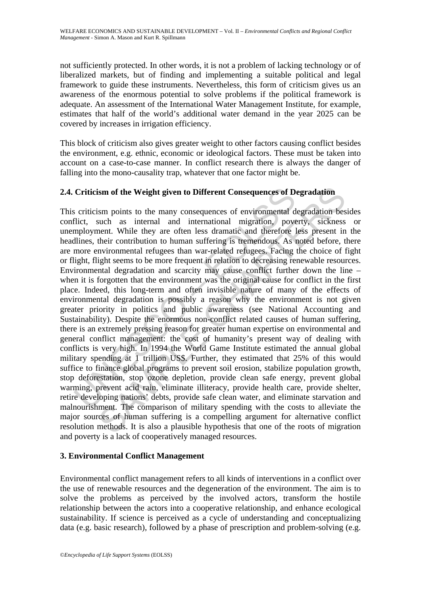not sufficiently protected. In other words, it is not a problem of lacking technology or of liberalized markets, but of finding and implementing a suitable political and legal framework to guide these instruments. Nevertheless, this form of criticism gives us an awareness of the enormous potential to solve problems if the political framework is adequate. An assessment of the International Water Management Institute, for example, estimates that half of the world's additional water demand in the year 2025 can be covered by increases in irrigation efficiency.

This block of criticism also gives greater weight to other factors causing conflict besides the environment, e.g. ethnic, economic or ideological factors. These must be taken into account on a case-to-case manner. In conflict research there is always the danger of falling into the mono-causality trap, whatever that one factor might be.

## **2.4. Criticism of the Weight given to Different Consequences of Degradation**

**Criticism of the Weight given to Different Consequences of D.**<br>Scriticism points to the many consequences of environmental d<br>diret, such as internal and international migration, pove<br>mployment. While they are often less d ism of the Weight given to Different Consequences of Degradation<br>sim points to the many consequences of environmental degradation bes<br>such as internal and international migration, poverty, sickness<br>nent. While they are oft This criticism points to the many consequences of environmental degradation besides conflict, such as internal and international migration, poverty, sickness or unemployment. While they are often less dramatic and therefore less present in the headlines, their contribution to human suffering is tremendous. As noted before, there are more environmental refugees than war-related refugees. Facing the choice of fight or flight, flight seems to be more frequent in relation to decreasing renewable resources. Environmental degradation and scarcity may cause conflict further down the line – when it is forgotten that the environment was the original cause for conflict in the first place. Indeed, this long-term and often invisible nature of many of the effects of environmental degradation is possibly a reason why the environment is not given greater priority in politics and public awareness (see National Accounting and Sustainability). Despite the enormous non-conflict related causes of human suffering, there is an extremely pressing reason for greater human expertise on environmental and general conflict management: the cost of humanity's present way of dealing with conflicts is very high. In 1994 the World Game Institute estimated the annual global military spending at 1 trillion US\$. Further, they estimated that 25% of this would suffice to finance global programs to prevent soil erosion, stabilize population growth, stop deforestation, stop ozone depletion, provide clean safe energy, prevent global warming, prevent acid rain, eliminate illiteracy, provide health care, provide shelter, retire developing nations' debts, provide safe clean water, and eliminate starvation and malnourishment. The comparison of military spending with the costs to alleviate the major sources of human suffering is a compelling argument for alternative conflict resolution methods. It is also a plausible hypothesis that one of the roots of migration and poverty is a lack of cooperatively managed resources.

## **3. Environmental Conflict Management**

Environmental conflict management refers to all kinds of interventions in a conflict over the use of renewable resources and the degeneration of the environment. The aim is to solve the problems as perceived by the involved actors, transform the hostile relationship between the actors into a cooperative relationship, and enhance ecological sustainability. If science is perceived as a cycle of understanding and conceptualizing data (e.g. basic research), followed by a phase of prescription and problem-solving (e.g.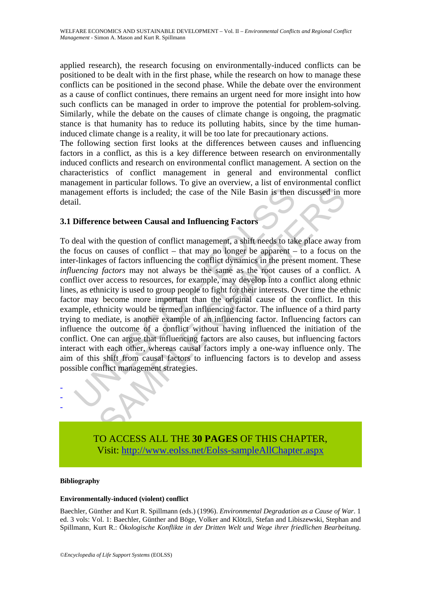applied research), the research focusing on environmentally-induced conflicts can be positioned to be dealt with in the first phase, while the research on how to manage these conflicts can be positioned in the second phase. While the debate over the environment as a cause of conflict continues, there remains an urgent need for more insight into how such conflicts can be managed in order to improve the potential for problem-solving. Similarly, while the debate on the causes of climate change is ongoing, the pragmatic stance is that humanity has to reduce its polluting habits, since by the time humaninduced climate change is a reality, it will be too late for precautionary actions.

The following section first looks at the differences between causes and influencing factors in a conflict, as this is a key difference between research on environmentally induced conflicts and research on environmental conflict management. A section on the characteristics of conflict management in general and environmental conflict management in particular follows. To give an overview, a list of environmental conflict management efforts is included; the case of the Nile Basin is then discussed in more detail.

## **3.1 Difference between Causal and Influencing Factors**

agement efforts is included; the case of the Nile Basin is then<br>il.<br>il.<br>**Difference between Causal and Influencing Factors**<br>theal with the question of conflict — that may no longer be apparent –<br>r-linkages of factors influ In erforts is included; the case of the Nile Basin is then discussed in m<br>
ance between Causal and Influencing Factors<br>
the duestion of conflict management, a shift needs to take place away to<br>
a no causes of conflict — th To deal with the question of conflict management, a shift needs to take place away from the focus on causes of conflict – that may no longer be apparent – to a focus on the inter-linkages of factors influencing the conflict dynamics in the present moment. These *influencing factors* may not always be the same as the root causes of a conflict. A conflict over access to resources, for example, may develop into a conflict along ethnic lines, as ethnicity is used to group people to fight for their interests. Over time the ethnic factor may become more important than the original cause of the conflict. In this example, ethnicity would be termed an influencing factor. The influence of a third party trying to mediate, is another example of an influencing factor. Influencing factors can influence the outcome of a conflict without having influenced the initiation of the conflict. One can argue that influencing factors are also causes, but influencing factors interact with each other, whereas causal factors imply a one-way influence only. The aim of this shift from causal factors to influencing factors is to develop and assess possible conflict management strategies.



TO ACCESS ALL THE **30 PAGES** OF THIS CHAPTER, Visi[t: http://www.eolss.net/Eolss-sampleAllChapter.aspx](https://www.eolss.net/ebooklib/sc_cart.aspx?File=E1-21-04-05)

#### **Bibliography**

#### **Environmentally-induced (violent) conflict**

Baechler, Günther and Kurt R. Spillmann (eds.) (1996). *Environmental Degradation as a Cause of War*. 1 ed. 3 vols: Vol. 1: Baechler, Günther and Böge, Volker and Klötzli, Stefan and Libiszewski, Stephan and Spillmann, Kurt R.: Ö*kologische Konflikte in der Dritten Welt und Wege ihrer friedlichen Bearbeitung*.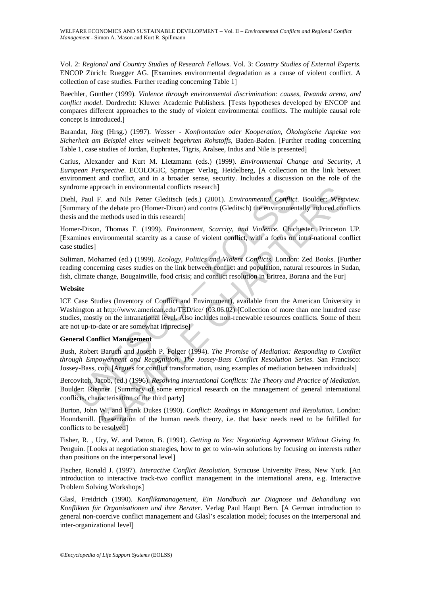Vol. 2: *Regional and Country Studies of Research Fellows*. Vol. 3: *Country Studies of External Experts*. ENCOP Zürich: Ruegger AG. [Examines environmental degradation as a cause of violent conflict. A collection of case studies. Further reading concerning Table 1]

Baechler, Günther (1999). *Violence through environmental discrimination: causes, Rwanda arena, and conflict model*. Dordrecht: Kluwer Academic Publishers. [Tests hypotheses developed by ENCOP and compares different approaches to the study of violent environmental conflicts. The multiple causal role concept is introduced.]

Barandat, Jörg (Hrsg.) (1997). *Wasser - Konfrontation oder Kooperation, Ökologische Aspekte von Sicherheit am Beispiel eines weltweit begehrten Rohstoffs*, Baden-Baden. [Further reading concerning Table 1, case studies of Jordan, Euphrates, Tigris, Aralsee, Indus and Nile is presented]

Carius, Alexander and Kurt M. Lietzmann (eds.) (1999). *Environmental Change and Security, A European Perspective*. ECOLOGIC, Springer Verlag, Heidelberg, [A collection on the link between environment and conflict, and in a broader sense, security. Includes a discussion on the role of the syndrome approach in environmental conflicts research]

Diehl, Paul F. and Nils Petter Gleditsch (eds.) (2001). *Environmental Conflict*. Boulder: Westview. [Summary of the debate pro (Homer-Dixon) and contra (Gleditsch) the environmentally induced conflicts thesis and the methods used in this research]

Homer-Dixon, Thomas F. (1999). *Environment, Scarcity, and Violence*. Chichester: Princeton UP. [Examines environmental scarcity as a cause of violent conflict, with a focus on intra-national conflict case studies]

Suliman, Mohamed (ed.) (1999). *Ecology, Politics and Violent Conflicts*. London: Zed Books. [Further reading concerning cases studies on the link between conflict and population, natural resources in Sudan, fish, climate change, Bougainville, food crisis; and conflict resolution in Eritrea, Borana and the Fur]

#### **Website**

rome approach in environmental conflicts research]<br>
1, Paul F. and Nils Petter Gleditsch (eds.) (2001). *Environmental Conflici*<br>
mary of the debate pro (Homer-Dixon) and contra (Gleditsch) the environment<br>
as and the meth proach in environmental conflicts research]<br>
F. and Nils Petter Gledistoh (eds.) (2001). *Environmental Conflict*. Boulder: West<br>
the debate pro (Homer-Dixon) and contra (Gledisch) the environmentally induced con<br>
methods ICE Case Studies (Inventory of Conflict and Environment), available from the American University in Washington at http://www.american.edu/TED/ice/ (03.06.02) [Collection of more than one hundred case studies, mostly on the intranational level. Also includes non-renewable resources conflicts. Some of them are not up-to-date or are somewhat imprecise]

#### **General Conflict Management**

Bush, Robert Baruch and Joseph P. Folger (1994). *The Promise of Mediation: Responding to Conflict through Empowerment and Recognition*, *The Jossey-Bass Conflict Resolution Series*. San Francisco: Jossey-Bass, cop. [Argues for conflict transformation, using examples of mediation between individuals]

Bercovitch, Jacob, (ed.) (1996). *Resolving International Conflicts: The Theory and Practice of Mediation*. Boulder: Rienner. [Summary of some empirical research on the management of general international conflicts, characterisation of the third party]

Burton, John W., and Frank Dukes (1990). *Conflict: Readings in Management and Resolution*. London: Houndsmill. [Presentation of the human needs theory, i.e. that basic needs need to be fulfilled for conflicts to be resolved]

Fisher, R. , Ury, W. and Patton, B. (1991). *Getting to Yes: Negotiating Agreement Without Giving In.* Penguin. [Looks at negotiation strategies, how to get to win-win solutions by focusing on interests rather than positions on the interpersonal level]

Fischer, Ronald J. (1997). *Interactive Conflict Resolution*, Syracuse University Press, New York. [An introduction to interactive track-two conflict management in the international arena, e.g. Interactive Problem Solving Workshops]

Glasl, Freidrich (1990). *Konfliktmanagement, Ein Handbuch zur Diagnose und Behandlung von Konflikten für Organisationen und ihre Berater*. Verlag Paul Haupt Bern. [A German introduction to general non-coercive conflict management and Glasl's escalation model; focuses on the interpersonal and inter-organizational level]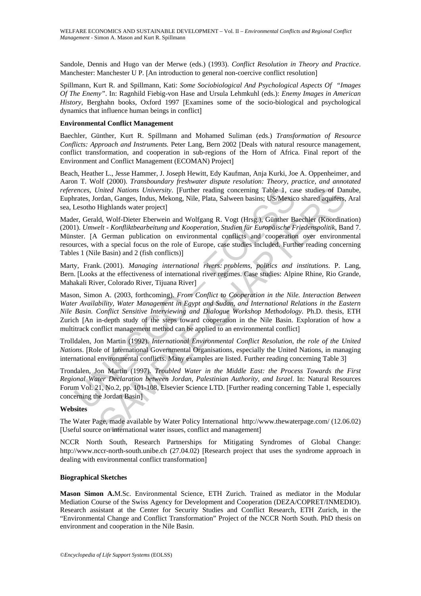Sandole, Dennis and Hugo van der Merwe (eds.) (1993). *Conflict Resolution in Theory and Practice*. Manchester: Manchester U P. [An introduction to general non-coercive conflict resolution]

Spillmann, Kurt R. and Spillmann, Kati: *Some Sociobiological And Psychological Aspects Of "Images Of The Enemy"*. In: Ragnhild Fiebig-von Hase and Ursula Lehmkuhl (eds.): *Enemy Images in American History*, Berghahn books, Oxford 1997 [Examines some of the socio-biological and psychological dynamics that influence human beings in conflict]

#### **Environmental Conflict Management**

Baechler, Günther, Kurt R. Spillmann and Mohamed Suliman (eds.) *Transformation of Resource Conflicts: Approach and Instruments.* Peter Lang, Bern 2002 [Deals with natural resource management, conflict transformation, and cooperation in sub-regions of the Horn of Africa. Final report of the Environment and Conflict Management (ECOMAN) Project]

Beach, Heather L., Jesse Hammer, J. Joseph Hewitt, Edy Kaufman, Anja Kurki, Joe A. Oppenheimer, and Aaron T. Wolf (2000). *Transboundary freshwater dispute resolution: Theory, practice, and annotated references, United Nations University*. [Further reading concerning Table 1, case studies of Danube, Euphrates, Jordan, Ganges, Indus, Mekong, Nile, Plata, Salween basins; US/Mexico shared aquifers, Aral sea, Lesotho Highlands water project]

Mader, Gerald, Wolf-Dieter Eberwein and Wolfgang R. Vogt (Hrsg.), Günther Baechler (Koordination) (2001). *Umwelt - Konfliktbearbeitung und Kooperation, Studien für Europäische Friedenspolitik*, Band 7. Münster. [A German publication on environmental conflicts and cooperation over environmental resources, with a special focus on the role of Europe, case studies included. Further reading concerning Tables 1 (Nile Basin) and 2 (fish conflicts)]

Marty, Frank. (2001). *Managing international rivers: problems, politics and institutions*. P. Lang, Bern. [Looks at the effectiveness of international river regimes. Case studies: Alpine Rhine, Rio Grande, Mahakali River, Colorado River, Tijuana River]

ences, United Nations University. [Further reading concerning Table 1, can a control (Lessotho Highlands water project)<br>
Lessotho Highlands water project]<br>
Lessotho Highlands water project]<br>
Lessotho Highlands water projec *Jnited Nations University.* [Further reading concerning Table 1, case studies of Dardan, Glanges, Indus, McGng, Nile, Plata, Salween basins; US/Mexico shared aguifers, Highlands water project]<br>Highlands water project]<br>
I Mason, Simon A. (2003, forthcoming). *From Conflict to Cooperation in the Nile. Interaction Between Water Availability, Water Management in Egypt and Sudan, and International Relations in the Eastern Nile Basin. Conflict Sensitive Interviewing and Dialogue Workshop Methodology*. Ph.D. thesis, ETH Zurich [An in-depth study of the steps toward cooperation in the Nile Basin. Exploration of how a multitrack conflict management method can be applied to an environmental conflict]

Trolldalen, Jon Martin (1992). *International Environmental Conflict Resolution*, *the role of the United Nations*. [Role of International Governmental Organisations, especially the United Nations, in managing international environmental conflicts. Many examples are listed. Further reading concerning Table 3]

Trondalen, Jon Martin (1997). *Troubled Water in the Middle East: the Process Towards the First Regional Water Declaration between Jordan, Palestinian Authority, and Israel*. In: Natural Resources Forum Vol. 21, No.2, pp. 101-108, Elsevier Science LTD. [Further reading concerning Table 1, especially concerning the Jordan Basin]

#### **Websites**

The Water Page, made available by Water Policy International http://www.thewaterpage.com/ (12.06.02) [Useful source on international water issues, conflict and management]

NCCR North South, Research Partnerships for Mitigating Syndromes of Global Change: http://www.nccr-north-south.unibe.ch (27.04.02) [Research project that uses the syndrome approach in dealing with environmental conflict transformation]

#### **Biographical Sketches**

**Mason Simon A.**M.Sc. Environmental Science, ETH Zurich. Trained as mediator in the Modular Mediation Course of the Swiss Agency for Development and Cooperation (DEZA/COPRET/INMEDIO). Research assistant at the Center for Security Studies and Conflict Research, ETH Zurich, in the "Environmental Change and Conflict Transformation" Project of the NCCR North South. PhD thesis on environment and cooperation in the Nile Basin.